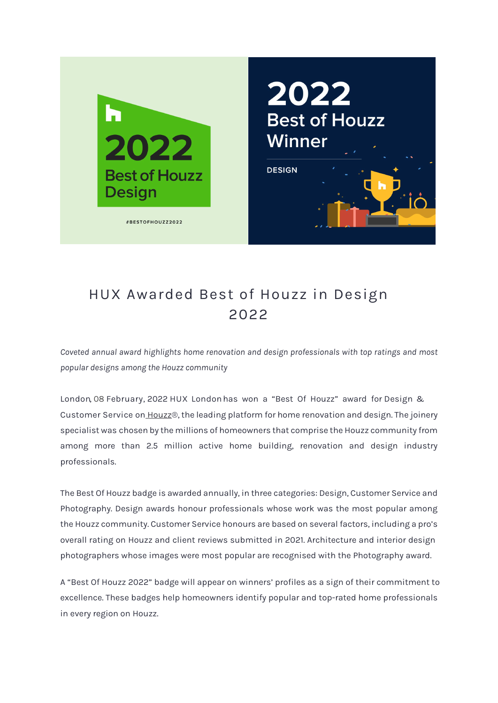

## HUX Awarded Best of Houzz in Design 2022

*Coveted annual award highlights home renovation and design professionals with top ratings and most popular designs among the Houzz community*

**London**, **08 February, 202**2 **HUX London** has won a "Best Of Houzz" award for **Design & Customer Service** on [Houzz®](http://www.houzz.co.uk/), the leading platform for home renovation and design. The joinery specialist was chosen by the millions of homeowners that comprise the Houzz community from among more than 2.5 million active home building, renovation and design industry professionals.

The Best Of Houzz badge is awarded annually, in three categories: Design, Customer Service and Photography. Design awards honour professionals whose work was the most popular among the Houzz community. Customer Service honours are based on several factors, including a pro's overall rating on Houzz and client reviews submitted in 2021. Architecture and interior design photographers whose images were most popular are recognised with the Photography award.

A "Best Of Houzz 2022" badge will appear on winners' profiles as a sign of their commitment to excellence. These badges help homeowners identify popular and top-rated home professionals in every region on Houzz.